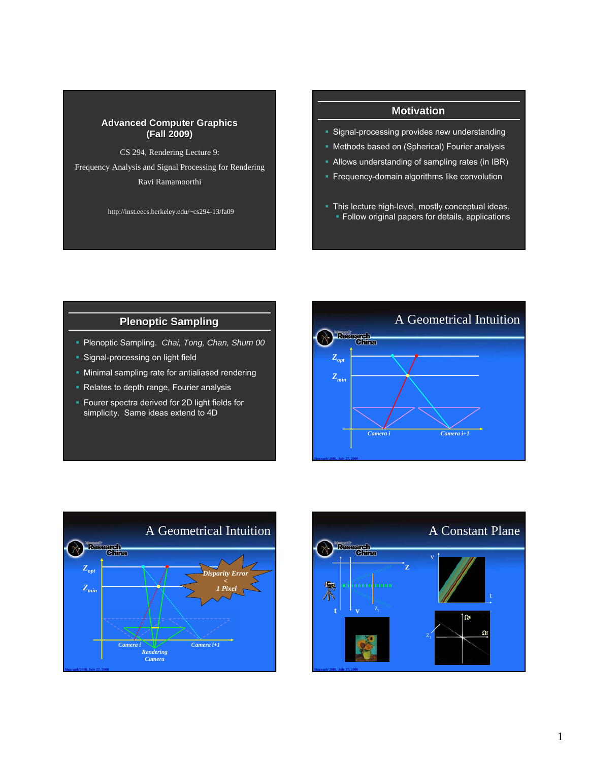#### **Advanced Computer Graphics (Fall 2009) (Fall 2009)**

CS 294, Rendering Lecture 9: Frequency Analysis and Signal Processing for Rendering

Ravi Ramamoorthi

http://inst.eecs.berkeley.edu/~cs294-13/fa09

### **Motivation**

- **Signal-processing provides new understanding**
- **Methods based on (Spherical) Fourier analysis**
- Allows understanding of sampling rates (in IBR)
- **Frequency-domain algorithms like convolution**
- This lecture high-level, mostly conceptual ideas. **Follow original papers for details, applications**

## **Plenoptic Sampling**

- Plenoptic Sampling. *Chai, Tong, Chan, Shum 00*
- **Signal-processing on light field**
- **Minimal sampling rate for antialiased rendering**
- Relates to depth range, Fourier analysis
- **Fourer spectra derived for 2D light fields for** simplicity. Same ideas extend to 4D





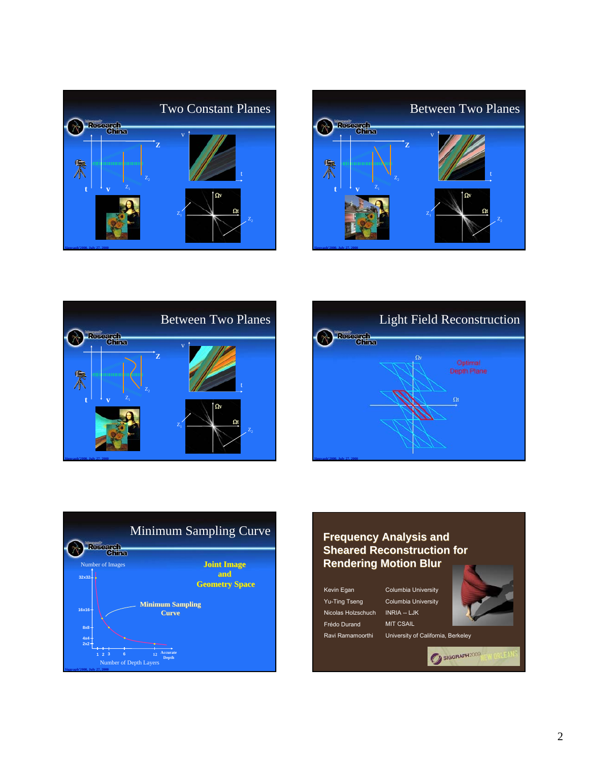









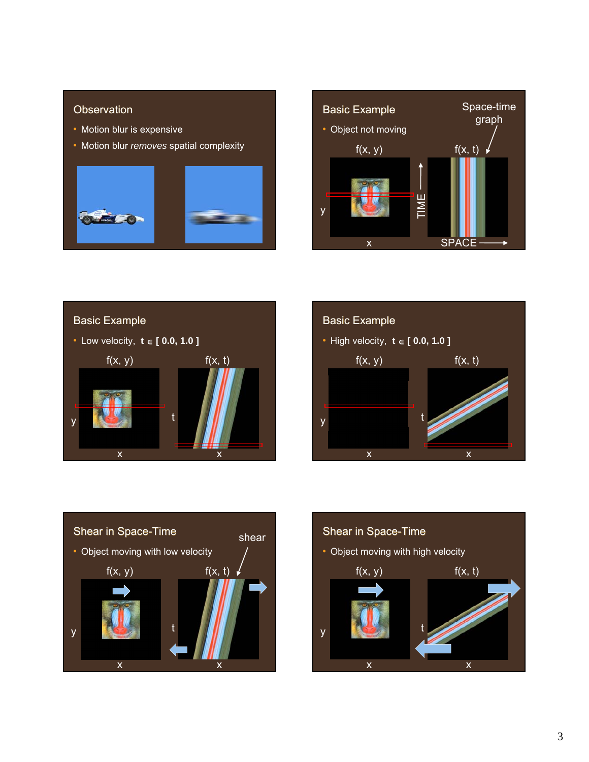### **Observation**

- Motion blur is expensive
- Motion blur *removes* spatial complexity











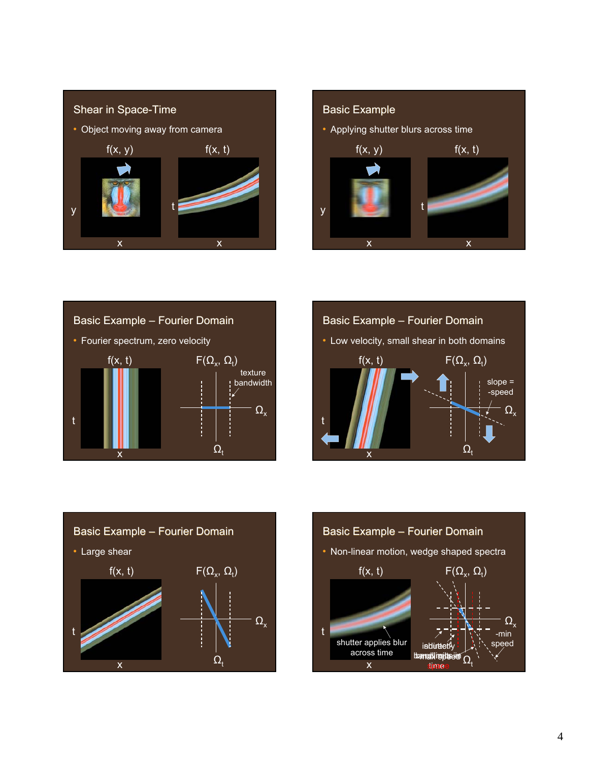









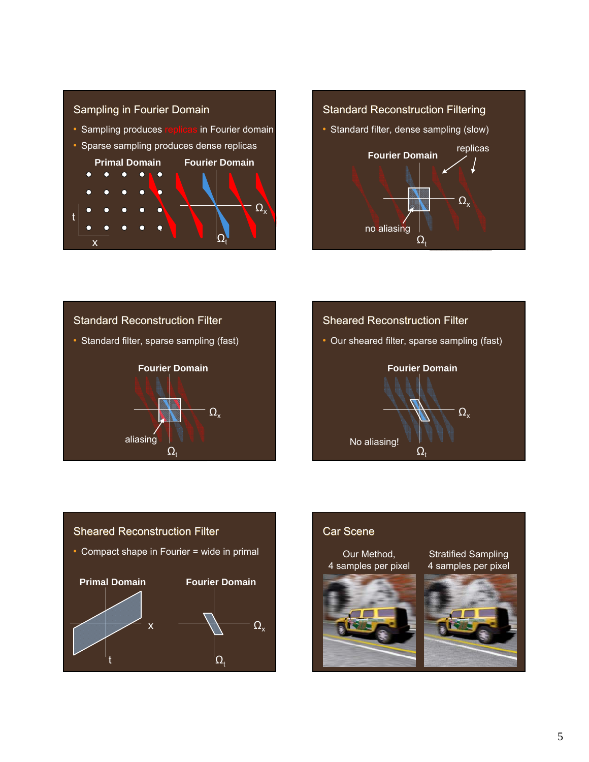









### Car Scene

Our Method, 4 samples per pixel



Stratified Sampling 4 samples per pixel

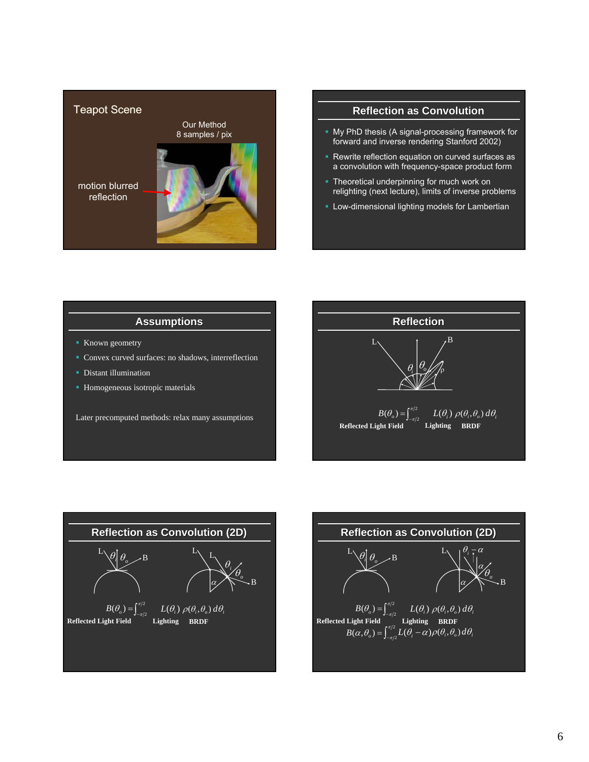

### **Reflection as Convolution**

- **My PhD thesis (A signal-processing framework for** forward and inverse rendering Stanford 2002)
- Rewrite reflection equation on curved surfaces as a convolution with frequency-space product form
- **Theoretical underpinning for much work on** relighting (next lecture), limits of inverse problems
- Low-dimensional lighting models for Lambertian

### **Assumptions**

- Known geometry
- Convex curved surfaces: no shadows, interreflection
- Distant illumination
- Homogeneous isotropic materials

Later precomputed methods: relax many assumptions





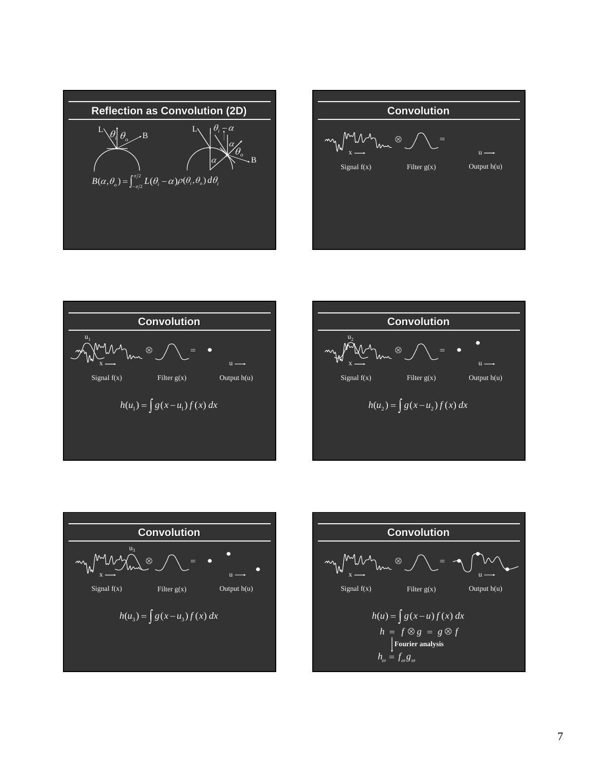









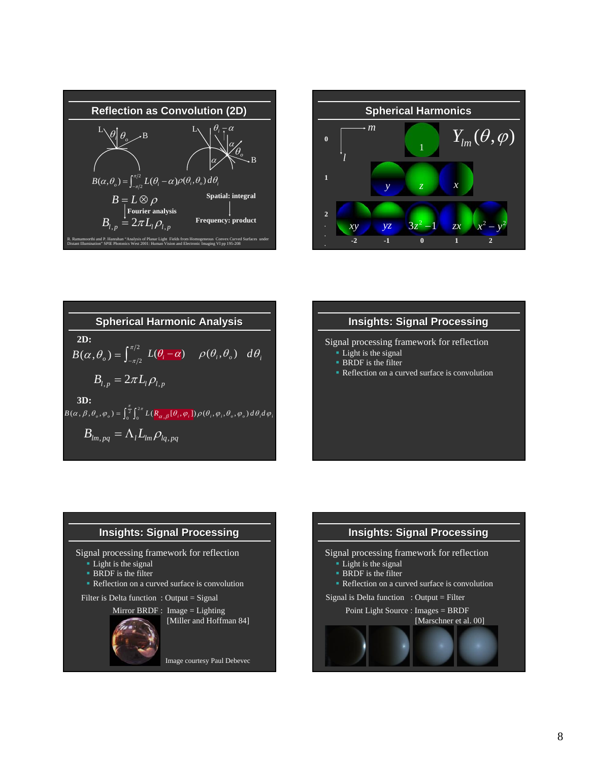







Signal processing framework for reflection

- Light is the signal
- BRDF is the filter
- Reflection on a curved surface is convolution

# **Insights: Signal Processing**

Signal processing framework for reflection

- Light is the signal
- **BRDF** is the filter
- Reflection on a curved surface is convolution

Filter is Delta function : Output = Signal



Image courtesy Paul Debevec

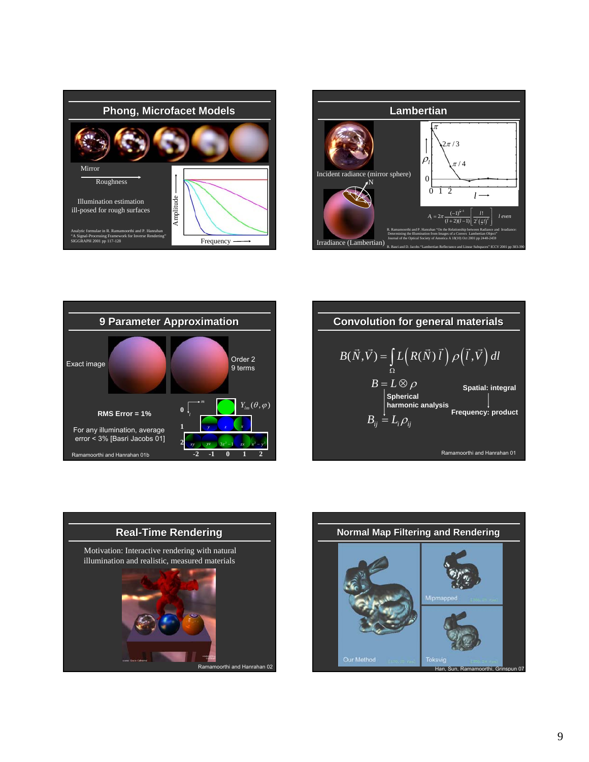





**Convolution for general materials**

\n
$$
B(\vec{N}, \vec{V}) = \int_{\Omega} L\left(R(\vec{N}) \vec{l}\right) \rho\left(\vec{l}, \vec{V}\right) dl
$$
\n
$$
B = L \otimes \rho
$$
\nSpatial: integral

\n|Spherical

\nharmonic analysis

\nFrequency: product

\n
$$
B_{ij} = L_{i} \rho_{ij}
$$
\nRamanoorthi and Harrahan 01